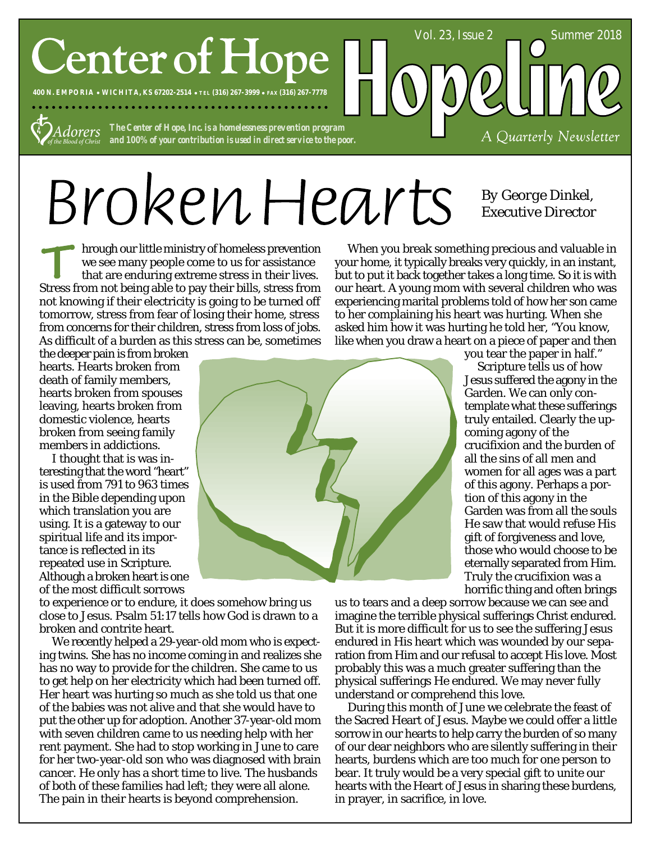# **Center of Hope**

**400 N. EMPORIA WICHITA, KS 67202-2514 TEL (316) 267-3999 FAX (316) 267-7778**

*The Center of Hope, Inc. is a homelessness prevention program Adorers and 100% of your contribution is used in direct service to the poor.*

# BrokenHearts

hrough our little ministry of homeless prevention we see many people come to us for assistance that are enduring extreme stress in their lives. Stress from not being able to pay their bills, stress from not knowing if their electricity is going to be turned off tomorrow, stress from fear of losing their home, stress from concerns for their children, stress from loss of jobs. As difficult of a burden as this stress can be, sometimes

the deeper pain is from broken hearts. Hearts broken from death of family members, hearts broken from spouses leaving, hearts broken from domestic violence, hearts broken from seeing family members in addictions.

I thought that is was interesting that the word "heart" is used from 791 to 963 times in the Bible depending upon which translation you are using. It is a gateway to our spiritual life and its importance is reflected in its repeated use in Scripture. Although a broken heart is one of the most difficult sorrows



to experience or to endure, it does somehow bring us close to Jesus. Psalm 51:17 tells how God is drawn to a broken and contrite heart.

We recently helped a 29-year-old mom who is expecting twins. She has no income coming in and realizes she has no way to provide for the children. She came to us to get help on her electricity which had been turned off. Her heart was hurting so much as she told us that one of the babies was not alive and that she would have to put the other up for adoption. Another 37-year-old mom with seven children came to us needing help with her rent payment. She had to stop working in June to care for her two-year-old son who was diagnosed with brain cancer. He only has a short time to live. The husbands of both of these families had left; they were all alone. The pain in their hearts is beyond comprehension.

When you break something precious and valuable in your home, it typically breaks very quickly, in an instant, but to put it back together takes a long time. So it is with our heart. A young mom with several children who was experiencing marital problems told of how her son came to her complaining his heart was hurting. When she asked him how it was hurting he told her, "You know, like when you draw a heart on a piece of paper and then

Vol. 23, Issue 2 Summer 2018

*By George Dinkel, Executive Director*

A Quarterly Newsletter

you tear the paper in half." Scripture tells us of how Jesus suffered the agony in the Garden. We can only contemplate what these sufferings truly entailed. Clearly the upcoming agony of the crucifixion and the burden of all the sins of all men and women for all ages was a part of this agony. Perhaps a portion of this agony in the Garden was from all the souls He saw that would refuse His gift of forgiveness and love, those who would choose to be eternally separated from Him. Truly the crucifixion was a horrific thing and often brings

us to tears and a deep sorrow because we can see and imagine the terrible physical sufferings Christ endured. But it is more difficult for us to see the suffering Jesus endured in His heart which was wounded by our separation from Him and our refusal to accept His love. Most probably this was a much greater suffering than the physical sufferings He endured. We may never fully understand or comprehend this love.

During this month of June we celebrate the feast of the Sacred Heart of Jesus. Maybe we could offer a little sorrow in our hearts to help carry the burden of so many of our dear neighbors who are silently suffering in their hearts, burdens which are too much for one person to bear. It truly would be a very special gift to unite our hearts with the Heart of Jesus in sharing these burdens, in prayer, in sacrifice, in love.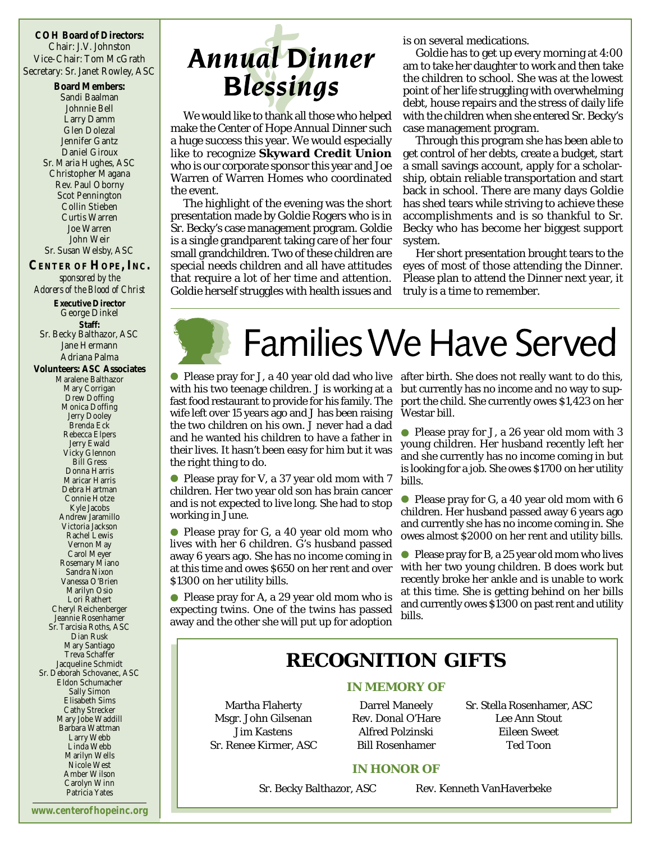**COH Board of Directors:** Chair: J.V. Johnston Vice-Chair: Tom McGrath Secretary: Sr. Janet Rowley, ASC

> **Board Members:** Sandi Baalman Johnnie Bell Larry Damm Glen Dolezal Jennifer Gantz Daniel Giroux Sr. Maria Hughes, ASC Christopher Magana Rev. Paul Oborny Scot Pennington Collin Stieben Curtis Warren Joe Warren John Weir Sr. Susan Welsby, ASC

**CENTER OF HOPE, INC.** *sponsored by the Adorers of the Blood of Christ* **Executive Director** George Dinkel **Staff:** Sr. Becky Balthazor, ASC Jane Hermann Adriana Palma **Volunteers: ASC Associates** Maralene Balthazor Mary Corrigan Drew Doffing Monica Doffing Jerry Dooley Brenda Eck Rebecca Elpers Jerry Ewald Vicky Glennon Bill Gress Donna Harris Maricar Harris Debra Hartman Connie Hotze Kyle Jacobs Andrew Jaramillo Victoria Jackson Rachel Lewis Vernon May Carol Meyer Rosemary Miano Sandra Nixon Vanessa O'Brien Marilyn Osio Lori Rathert Cheryl Reichenberger Jeannie Rosenhamer Sr. Tarcisia Roths, ASC Dian Rusk Mary Santiago Treva Schaffer Jacqueline Schmidt Sr. Deborah Schovanec, ASC Eldon Schumacher Sally Simon Elisabeth Sims Cathy Strecker Mary Jobe Waddill Barbara Wattman Larry Webb Linda Webb

#### Nicole West Amber Wilson Carolyn Winn Patricia Yates

Marilyn Wells

## **Annual Dinner Blessings**

We would like to thank all those who helped make the Center of Hope Annual Dinner such a huge success this year. We would especially like to recognize **Skyward Credit Union** who is our corporate sponsor this year and Joe Warren of Warren Homes who coordinated the event.

The highlight of the evening was the short presentation made by Goldie Rogers who is in Sr. Becky's case management program. Goldie is a single grandparent taking care of her four small grandchildren. Two of these children are special needs children and all have attitudes that require a lot of her time and attention. Goldie herself struggles with health issues and is on several medications.

Goldie has to get up every morning at 4:00 am to take her daughter to work and then take the children to school. She was at the lowest point of her life struggling with overwhelming debt, house repairs and the stress of daily life with the children when she entered Sr. Becky's case management program.

Through this program she has been able to get control of her debts, create a budget, start a small savings account, apply for a scholarship, obtain reliable transportation and start back in school. There are many days Goldie has shed tears while striving to achieve these accomplishments and is so thankful to Sr. Becky who has become her biggest support system.

Her short presentation brought tears to the eyes of most of those attending the Dinner. Please plan to attend the Dinner next year, it truly is a time to remember.



with his two teenage children. J is working at a fast food restaurant to provide for his family. The wife left over 15 years ago and J has been raising the two children on his own. J never had a dad and he wanted his children to have a father in their lives. It hasn't been easy for him but it was the right thing to do.

● Please pray for V, a 37 year old mom with 7 children. Her two year old son has brain cancer and is not expected to live long. She had to stop working in June.

Please pray for G, a 40 year old mom who lives with her 6 children. G's husband passed away 6 years ago. She has no income coming in at this time and owes \$650 on her rent and over \$1300 on her utility bills.

Please pray for A, a 29 year old mom who is expecting twins. One of the twins has passed away and the other she will put up for adoption

Please pray for J, a 40 year old dad who live after birth. She does not really want to do this, but currently has no income and no way to support the child. She currently owes \$1,423 on her Westar bill.

> ● Please pray for J, a 26 year old mom with 3 young children. Her husband recently left her and she currently has no income coming in but is looking for a job. She owes \$1700 on her utility bills.

> $\bullet$  Please pray for G, a 40 year old mom with 6 children. Her husband passed away 6 years ago and currently she has no income coming in. She owes almost \$2000 on her rent and utility bills.

> ● Please pray for B, a 25 year old mom who lives with her two young children. B does work but recently broke her ankle and is unable to work at this time. She is getting behind on her bills and currently owes \$1300 on past rent and utility bills.

## **RECOGNITION GIFTS**

#### **IN MEMORY OF**

Martha Flaherty Msgr. John Gilsenan Jim Kastens Sr. Renee Kirmer, ASC

Darrel Maneely Rev. Donal O'Hare Alfred Polzinski Bill Rosenhamer

Sr. Stella Rosenhamer, ASC Lee Ann Stout Eileen Sweet Ted Toon

#### **IN HONOR OF**

Sr. Becky Balthazor, ASC

Rev. Kenneth VanHaverbeke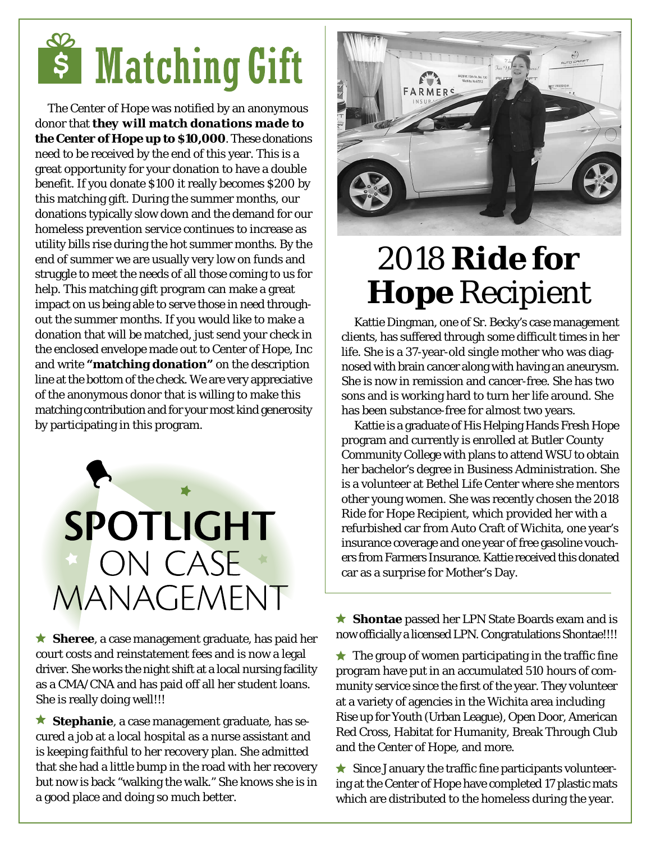# **s** Matching Gift

The Center of Hope was notified by an anonymous donor that *they will match donations made to the Center of Hope up to \$10,000*. These donations need to be received by the end of this year. This is a great opportunity for your donation to have a double benefit. If you donate \$100 it really becomes \$200 by this matching gift. During the summer months, our donations typically slow down and the demand for our homeless prevention service continues to increase as utility bills rise during the hot summer months. By the end of summer we are usually very low on funds and struggle to meet the needs of all those coming to us for help. This matching gift program can make a great impact on us being able to serve those in need throughout the summer months. If you would like to make a donation that will be matched, just send your check in the enclosed envelope made out to Center of Hope, Inc and write **"matching donation"** on the description line at the bottom of the check. We are very appreciative of the anonymous donor that is willing to make this matching contribution and for your most kind generosity by participating in this program.



**Sheree**, a case management graduate, has paid her court costs and reinstatement fees and is now a legal driver. She works the night shift at a local nursing facility as a CMA/CNA and has paid off all her student loans. She is really doing well!!!

**Stephanie**, a case management graduate, has secured a job at a local hospital as a nurse assistant and is keeping faithful to her recovery plan. She admitted that she had a little bump in the road with her recovery but now is back "walking the walk." She knows she is in a good place and doing so much better.



## 2018 *Ride for Hope* Recipient

Kattie Dingman, one of Sr. Becky's case management clients, has suffered through some difficult times in her life. She is a 37-year-old single mother who was diagnosed with brain cancer along with having an aneurysm. She is now in remission and cancer-free. She has two sons and is working hard to turn her life around. She has been substance-free for almost two years.

Kattie is a graduate of His Helping Hands Fresh Hope program and currently is enrolled at Butler County Community College with plans to attend WSU to obtain her bachelor's degree in Business Administration. She is a volunteer at Bethel Life Center where she mentors other young women. She was recently chosen the 2018 Ride for Hope Recipient, which provided her with a refurbished car from Auto Craft of Wichita, one year's insurance coverage and one year of free gasoline vouchers from Farmers Insurance. Kattie received this donated car as a surprise for Mother's Day.

**Shontae** passed her LPN State Boards exam and is now officially a licensed LPN. Congratulations Shontae!!!!

 $\star$  The group of women participating in the traffic fine program have put in an accumulated 510 hours of community service since the first of the year. They volunteer at a variety of agencies in the Wichita area including Rise up for Youth (Urban League), Open Door, American Red Cross, Habitat for Humanity, Break Through Club and the Center of Hope, and more.

 $\star$  Since January the traffic fine participants volunteering at the Center of Hope have completed 17 plastic mats which are distributed to the homeless during the year.